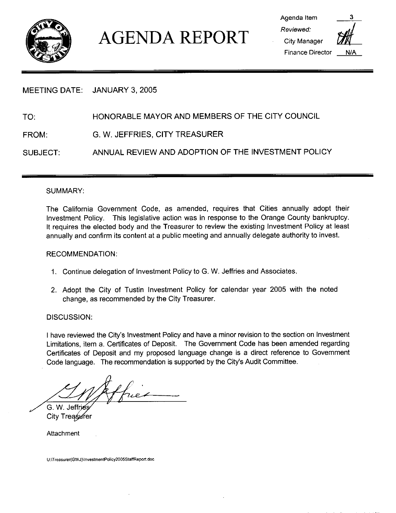

# AGENDA REPORT

Agenda Item Reviewed City Manager Finance Director  $N/A$ 

# MEETING DATE: JANUARY 3, 2005

TO: HONORABLE MAYOR AND MEMBERS OF THE CITY COUNCIL

FROM: G. W. JEFFRIES, CITY TREASURER

SUBJECT: ANNUAL REVIEW AND ADOPTION OF THE INVESTMENT POLICY

#### SUMMARY

The California Government Code, as amended, requires that Cities annually adopt their Investment Policy. This legislative action was in response to the Orange County bankruptcy. It requires the elected body and the Treasurer to review the existing Investment Policy at least annually and confirm its content at <sup>a</sup> public meeting and annually delegate authority to invest

#### RECOMMENDATION

- 1. Continue delegation of Investment Policy to G. W. Jeffries and Associates.
- 2 Adopt the City of Tustin Investment Policy for calendar year <sup>2005</sup> with the noted change, as recommended by the City Treasurer.

DISCUSSION:

DISCUSSION:<br>I have reviewed the City's Investment Policy and have a minor revision to the section on Investment<br>Limitations, item a. Certificates of Deposit. The Government Code has been amended regarding I have reviewed the City's Investment Policy and have a minor revision to the section on Investment Certificates of Deposit and my proposed language change is <sup>a</sup> direct reference to Government Limitations, item a. Certificates of Deposit. The Government C<br>Certificates of Deposit and my proposed language change is<br>Code language. The recommendation is supported by the City's Code language. The recommendation is supported by the City's Audit Committee.

G. W. Jeffrie City Treasurer

Attachment

U:\Treasurer(GWJ)\InvestmentPolicy2005StaffReport.doc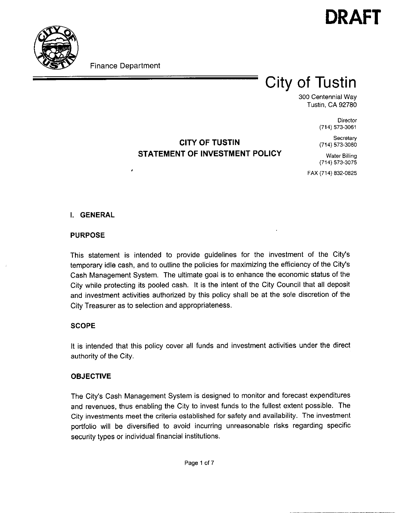



Finance Department

×

# City of Tustin

300 Centennial Way Tustin, CA 92780

> **Director** (714) 573-3061

**Secretary** (714) 573-3060

# CITY OF TUSTIN STATEMENT OF INVESTMENT POLICY

Water Billing (714) 573-3075

FAX (714) 832-0825

## I. GENERAL

#### PURPOSE

This statement is intended to provide guidelines for the investment of the City's temporary idle cash, and to outline the policies for maximizing the efficiency of the City's Cash Management System The ultimate goal is to enhance the economic status of the City while protecting its pooled cash. It is the intent of the City Council that all deposit and investment activities authorized by this policy shall be at the sole discretion of the City Treasurer as to selection and appropriateness

### **SCOPE**

It is intended that this policy cover all funds and investment activities under the direct authority of the City

### OBJECTIVE

**ОВЈЕСТІ**<br>The City's<br>and reven Cash Management System is designed to monitor and forecast expenditures and revenues, thus enabling the City to invest funds to the fullest extent possible. The City investments meet the criteria established for safety and availability. The investment portfolio will be diversified to avoid incurring unreasonable risks regarding specific security types or individual financial institutions.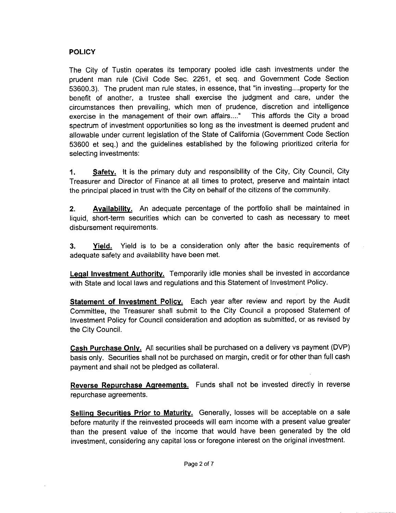# **POLICY**

The City of Tustin operates its temporary pooled idle cash investments under the prudent man rule (Civil Code Sec. 2261, et seq. and Government Code Section **POLICY**<br>The City<br>prudent n<br>53600.3).<br>benefit of an rule (Civil Code Sec. 2201, et seq. and Government Code Section<br>The prudent man rule states, in essence, that "in investing....property for the benefit of another, a trustee shall exercise the judgment and care, under the circumstances then prevailing, which men of prudence, discretion and intelligence<br>exercise in the management of their own affairs...." This affords the City a broad exercise in the management of their own affairs...." spectrum of investment opportunities so long as the investment is deemed prudent and allowable under current legislation of the State of California Government Code Section 53600 et seq.) and the guidelines established by the following prioritized criteria for selecting investments

1. Safety. It is the primary duty and responsibility of the City, City Council, City Treasurer and Director of Finance at all times to protect, preserve and maintain intact the principal placed in trust with the City on behalf of the citizens of the community.

2. Availability. An adequate percentage of the portfolio shall be maintained in liquid, short-term securities which can be converted to cash as necessary to meet disbursement requirements.

**3.** Yield. Yield is to be a consideration only after the basic requirements of adequate safety and availability have been met

Legal Investment Authority. Temporarily idle monies shall be invested in accordance with State and local laws and regulations and this Statement of Investment Policy.

Statement of Investment Policy. Each year after review and report by the Audit Committee, the Treasurer shall submit to the City Council a proposed Statement of Investment Policy for Council consideration and adoption as submitted, or as revised by the City Council

Cash Purchase Only. All securities shall be purchased on a delivery vs payment (DVP) basis only. Securities shall not be purchased on margin, credit or for other than full cash payment and shall not be pledged as collateral

Reverse Repurchase Agreements. Funds shall not be invested directly in reverse repurchase agreements

Selling Securities Prior to Maturity. Generally, losses will be acceptable on a sale before maturity if the reinvested proceeds will earn income with <sup>a</sup> present value greater than the present value of the income that would have been generated by the old investment, considering any capital loss or foregone interest on the original investment.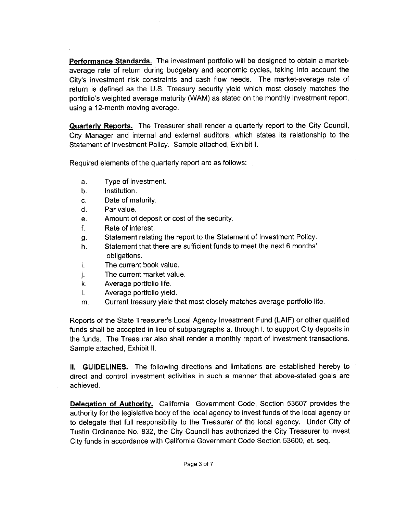Performance Standards. The investment portfolio will be designed to obtain a marketaverage rate of return during budgetary and economic cycles, taking into account the **Performance Standards.** The investment portfolio will be designed to obtain a market-<br>average rate of return during budgetary and economic cycles, taking into account the<br>City's investment risk constraints and cash flow n City's investment risk constraints and cash flow needs. The market-average rate of return is defined as the U.S. Treasury security yield which most closely matches the portfolio's weighted average maturity (WAM) as stated on the monthly investment report, using a 12-month moving average.

Quarterly Reports. The Treasurer shall render a quarterly report to the City Council, City Manager and internal and external auditors, which states its relationship to the<br>Statement of Investment Policy. Sample attached, Exhibit I.

Required elements of the quarterly report are as follows

- a. Type of investment
- $b$ Institution
- Date of maturity.  $C<sub>1</sub>$
- $\mathsf{d}$ Par value
- $e<sub>1</sub>$ Amount of deposit or cost of the security
- f. Rate of interest
- Statement relating the report to the Statement of Investment Policy g.
- Date of maturity.<br>Par value.<br>Amount of deposit or co<br>Rate of interest.<br>Statement relating the re<br>Statement that there are<br>obligations.<br>The current book value.<br>The current market valu<br>Average portfolio life. Statement that there are sufficient funds to meet the next 6 months h.
- obligations.<br>The current book value. ì.
- The current market value
- Average portfolio life
- Average portfolio yield
- Current treasury yield that most closely matches average portfolio life

Frace portfolio life.<br>
Reports of the State Treasurer's Local Agency Investment Fund (LAIF) or other qualified<br>
funds shall be accepted in lieu of subparagraphs a, through I, to support City deposits in<br>
the funds shall be Reports of the State Treasurer's Local Agency Investment Fund (LAIF) or other qualified funds shall be accepted in lieu of subparagraphs a. through I. to support City deposits in the funds. The Treasurer also shall render a monthly report of investment transactions. Sample attached, Exhibit II.

II. GUIDELINES. The following directions and limitations are established hereby to direct and control investment activities in such <sup>a</sup> manner that above statedgoals are achieved

Delegation of Authority. California Government Code, Section 53607 provides the authority for the legislative body of the local agency to invest funds of the local agency or to delegate that full responsibility to the Treasurer of the local agency. Under City of Tustin Ordinance No. 832, the City Council has authorized the City Treasurer to invest City funds in accordance with California Government Code Section 53600, et. seq.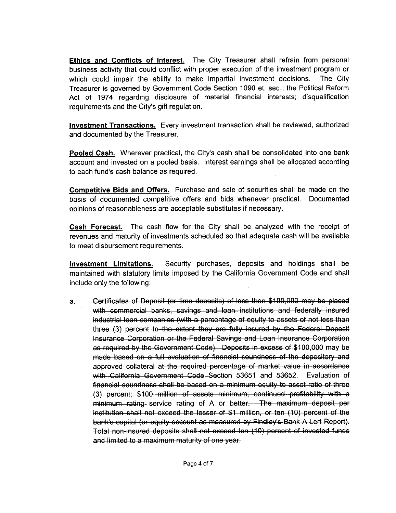Ethics and Conflicts of Interest. The City Treasurer shall refrain from personal business activity that could conflict with proper execution of the investment program or which could impair the ability to make impartial investment decisions. The City Treasurer is governed by Government Code Section 1090 et. seq.; the Political Reform Act of 1974 regarding disclosure of material financial interests; disqualification Treasurer is governed by Government Cc<br>Act of 1974 regarding disclosure of<br>requirements and the City's gift regulation.

Investment Transactions. Every investment transaction shall be reviewed, authorized and documented by the Treasurer

and documented by the Treasurer.<br><mark>Pooled Cash.</mark> Wherever practical, the City's cash shall be consolidated into one bank<br>account and invested on a pooled basis. Interest earnings shall be allocated according account and invested on a pooled basis. Interest earnings shall be allocated according Pooled Cash. Wherever practical, the<br>account and invested on a pooled basis<br>to each fund's cash balance as required.

Competitive Bids and Offers. Purchase and sale of securities shall be made on the basis of documented competitive offers and bids whenever practical. Documented opinions of reasonableness are acceptable substitutes if necessary

Cash Forecast. The cash flow for the City shall be analyzed with the receipt of revenues and maturity of investments scheduled so that adequate cash will be available to meet disbursement requirements

Investment Limitations. Security purchases, deposits and holdings shall be maintained with statutory limits imposed by the California Government Code and shall include only the following

a. Certificates of Deposit (or time deposits) of less than \$100,000 may be placed with commercial banks, savings and loan institutions and federally insured industrial loan companies (with a percentage of equity to assets of not less than three (3) percent to the extent they are fully insured by the Federal Deposit Insurance Corporation or the Federal Savings and Loan Insurance Corporation<br>as required by the Government Code). Deposits in excess of \$100,000 with commercial banks, savings and loan institutions and federally insured<br>industrial loan companies (with a percentage of equity to assets of not less than<br>three (3) percent to the extent they are fully insured by the Fed msurance Corporation or the Federal Savings and Loan Insurance Corporation<br>as required by the Government Code). Deposits in excess of \$100,000 may be<br>made based on a full evaluation of financial soundness of the depository as required by the Government Code). Deposits in excess of \$100,000 may be<br>made based on a full evaluation of financial soundness of the depository and<br>approved collateral at the required percentage of market value in acc sound collateral at the required percentage of market value in accordance<br>with California Government Code Section 53651 and 53652. Evaluation of<br>financial soundness shall be based on a minimum equity to asset ratio of thre with California Government Code Section 53651 and 53652. Evaluation of<br>financial soundness shall be based on a minimum equity to asset ratio of three<br>(3) percent: \$100 million of assets minimum; continued profitability wit (3) percent; \$100 million of assets minimum; continued profitability with a<br>minimum rating service rating of A or better.—The maximum deposit per<br>institution shall not exceed the lesser of \$1 million, or ten (10) percent o (o) persont, whos million of assets millimant, sontinace prolitating with a<br>minimum rating service rating of A or better.—The maximum deposit per<br>institution shall not exceed the lesser of \$1 million, or ten (10) percent o insulution shall not oxcoed the lesser or strill inition, or territiv*y* percent or the<br>bank's capital (or equity account as measured by Findley's Bank-A-Lert Report).<br>Total non-insured deposits shall not exceed ten (10) p pank's capital (or equity account as measured<br>Total non-insured deposits shall not exceed t<br>and limited to a maximum maturity of one year.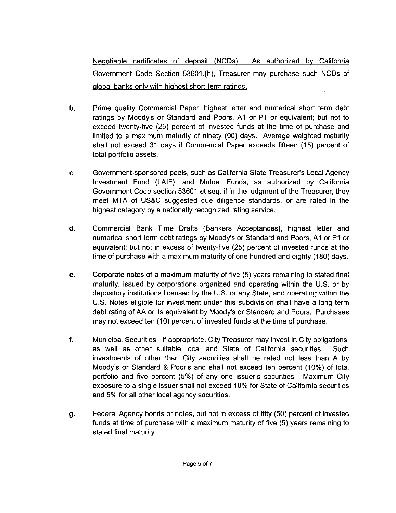Negotiable certificates of deposit (NCDs). As authorized by California Negotiable certificates of deposit (NCDs). As authorized by California<br>Government Code Section 53601.(h), Treasurer may purchase such NCDs of<br>global banks only with highest short-term ratings. alobal banks only with highest short-term ratings.

- b. Prime quality Commercial Paper, highest letter and numerical short term debt global banks only w<br>Prime quality Com<br>ratings by Moody's<br>exceed twenty-five ratings by Moody's or Standard and Poors, A1 or P1 or equivalent; but not to exceed twenty-five (25) percent of invested funds at the time of purchase and limited to a maximum maturity of pipety (90) days. Average weighted limited to a maximum maturity of ninety (90) days. Average weighted maturity shall not exceed 31 days if Commercial Paper exceeds fifteen (15) percent of total portfolio assets ratings by Moody's or Standard and Poors, A1 or P1 or equivalent; but not to exceed twenty-five (25) percent of invested funds at the time of purchase and limited to a maximum maturity of ninety (90) days. Average weighted
- Investment Fund (LAIF), and Mutual Funds, as authorized by California Government Code section 53601 et seq. if in the judgment of the Treasurer, they Investment Fund (LAIF), and Mutual Funds, as authorized by California<br>Government Code section 53601 et seq. if in the judgment of the Treasurer, they<br>meet MTA of US&C suggested due diligence standards, or are rated in the<br> highest category by a nationally recognized rating service.
- d. Commercial Bank Time Drafts (Bankers Acceptances), highest letter and nighest category by a nationally recognized rating service.<br>Commercial Bank Time Drafts (Bankers Acceptances), highest letter and<br>numerical short term debt ratings by Moody's or Standard and Poors, A1 or P1 or<br>equivalent; numerical short term debt ratings by Moody's or Standard and Poors, A1 or P1 or equivalent; but not in excess of twenty-five (25) percent of invested funds at the time of purchase with a maximum maturity of one hundred and eighty (180) days.
- e. Corporate notes of a maximum maturity of five (5) years remaining to stated final Corporate notes of a maximum maturity of five (5) years remaining to stated final<br>maturity, issued by corporations organized and operating within the U.S. or by maturity, issued by corporations organized and operating within the U.S. or by<br>depository institutions licensed by the U.S. or any State, and operating within the depository institutions licensed by the U.S. or any State, and operating within the U.S. Notes eligible for investment under this subdivision shall have a long term debt rating of AA or its equivalent by Moody's or Standard and Poors. Purchases may not exceed ten (10) percent of invested funds at the time of purchase.
- f. Municipal Securities. If appropriate, City Treasurer may invest in City obligations,<br>as well as other suitable local and State of California securities. Such as well as other suitable local and State of California securities. investments of other than City securities shall be rated not less than A by Municipal Securities. If appropriate, City Treasurer may invest in City obligations, as well as other suitable local and State of California securities. Such investments of other than City securities shall be rated not les Moody's or Standard & Poor's and shall not exceed ten percent (10%) of total portfolio and five percent (5%) of any one issuer's securities. Maximum City exposure to a single issuer shall not exceed 10% for State of California securities and 5% for all other local agency securities.
- g Federal Agency bonds or notes, but not in excess of fifty (50) percent of invested funds at time of purchase with a maximum maturity of five (5) years remaining to stated final maturity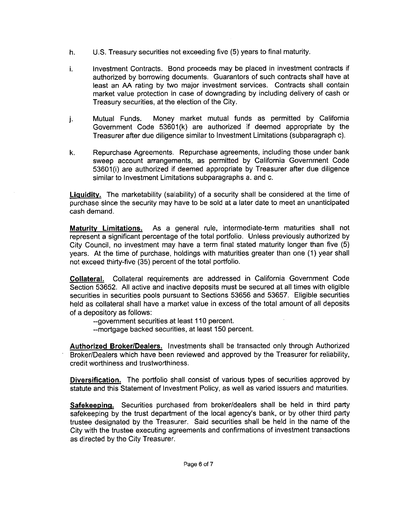- h.  $U.S.$  Treasury securities not exceeding five  $(5)$  years to final maturity.
- i. Investment Contracts. Bond proceeds may be placed in investment contracts if authorized by borrowing documents. Guarantors of such contracts shall have at least an AA rating by two major investment services. Contracts shall contain market value protection in case of downgrading by including delivery of cash or Treasury securities, at the election of the City.
- j Mutual Funds. Money market mutual funds as permitted by California Government Code 53601(k) are authorized if deemed appropriate by the Treasurer after due diligence similar to Investment Limitations (subparagraph c).
- k. Repurchase Agreements. Repurchase agreements, including those under bank sweep account arrangements, as permitted by California Government Code<br>53601(i) are authorized if deemed appropriate by Treasurer after due diligence<br>similar to Investment I imitations subparagraphs a and c. 53601(i) are authorized if deemed appropriate by Treasurer after due diligence similar to Investment Limitations subparagraphs a. and c.

Liquidity. The marketability (salability) of a security shall be considered at the time of purchase since the security may have to be sold at a later date to meet an unanticipated cash demand

Maturity Limitations. As a general rule, intermediate-term maturities shall not represent a significant percentage of the total portfolio. Unless previously authorized by City Council, no investment may have a term final stated maturity longer than five (5) years. At the time of purchase, holdings with maturities greater than one (1) year shall not exceed thirty-five (35) percent of the total portfolio.

Collateral Collateral requirements are addressed in California Government Code Section 53652. All active and inactive deposits must be secured at all times with eligible securities in securities pools pursuant to Sections 53656 and 53657. Eligible securities held as collateral shall have a market value in excess of the total amount of all deposits of a depository as follows

--government securities at least 110 percent.

-- mortgage backed securities, at least 150 percent.

Authorized Broker/Dealers. Investments shall be transacted only through Authorized Broker/Dealers which have been reviewed and approved by the Treasurer for reliability, credit worthiness and trustworthiness

Diversification. The portfolio shall consist of various types of securities approved by statute and this Statement of Investment Policy, as well as varied issuers and maturities.

Safekeeping. Securities purchased from broker/dealers shall be held in third party safekeeping by the trust department of the local agency's bank, or by other third party trustee designated by the Treasurer. Said securities shall be held in the name of the City with the trustee executing agreements and confirmations of investment transactions as directed by the City Treasurer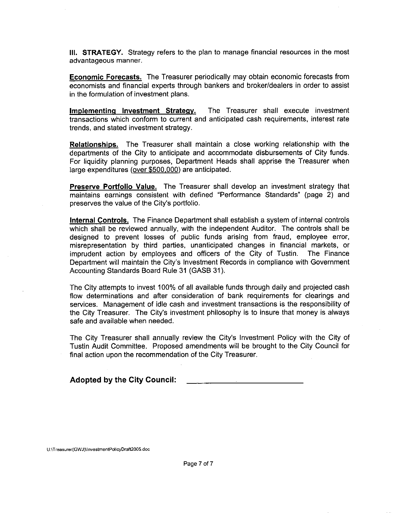III. STRATEGY. Strategy refers to the plan to manage financial resources in the most advantageous manner

**Economic Forecasts.** The Treasurer periodically may obtain economic forecasts from economists and financial experts through bankers and broker/dealers in order to assist in the formulation of investment plans.

Implementing Investment Strategy. The Treasurer shall execute investment transactions which conform to current and anticipated cash requirements interest rate trends, and stated investment strategy.

Relationships. The Treasurer shall maintain a close working relationship with the departments of the City to anticipate and accommodate disbursements of City funds For liquidity planning purposes, Department Heads shall apprise the Treasurer when large expenditures (over \$500,000) are anticipated.

Preserve Portfolio Value. The Treasurer shall develop an investment strategy that maintains earnings consistent with defined "Performance Standards" (page 2) and Preserve Portfolio Value. The Treast<br>maintains earnings consistent with def<br>preserves the value of the City's portfolio.<br>.

Internal Controls. The Finance Department shall establish a system of internal controls which shall be reviewed annually, with the independent Auditor. The controls shall be designed to prevent losses of public funds arising from fraud, employee error, misrepresentation by third parties, unanticipated changes in financial markets, or<br>imprudent action by employees and officers of the City of Tustin. The Finance<br>Department will maintain the City's Investment Records in com imprudent action by employees and officers of the City of Tustin. The Finance<br>Department will maintain the City's Investment Records in compliance with Government Accounting Standards Board Rule 31 (GASB 31).

The City attempts to invest 100% of all available funds through daily and projected cash flow determinations and after consideration of bank requirements for clearings and services. Management of idle cash and investment transactions is the responsibility of flow determinations and after<br>services. Management of idle<br>the City Treasurer. The City's<br>safe and available when neede investment philosophy is to insure that money is always safe and available when needed

safe and available when needed.<br>The City Treasurer shall annually review the City's Investment Policy with the City of<br>Tustin Audit Committee. Proposed amendments will be brought to the City Council for final action upon the recommendation of the City Treasurer

Adopted by the City Council

U:\Treasurer(GWJ)\In nv<mark>estmentPolicyDraft2005</mark>.doc